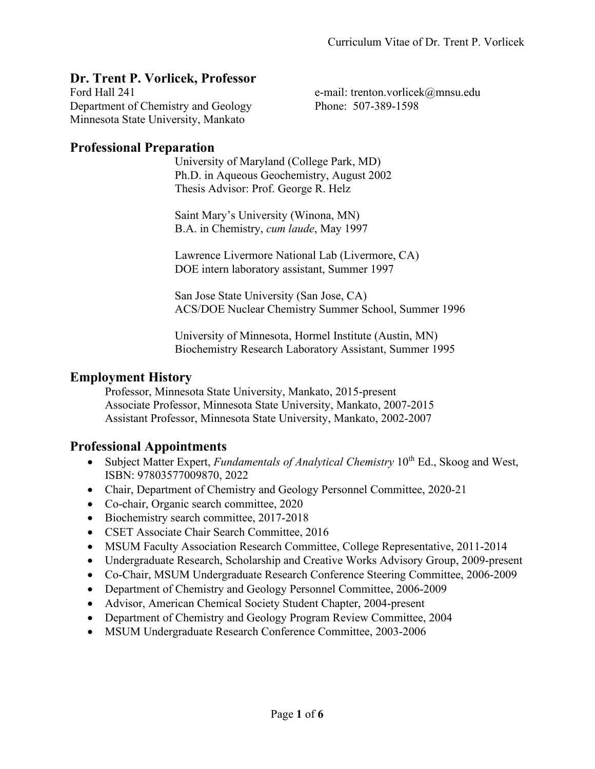### **Dr. Trent P. Vorlicek, Professor**

Ford Hall 241 e-mail: trenton.vorlicek@mnsu.edu Department of Chemistry and Geology Phone: 507-389-1598 Minnesota State University, Mankato

#### **Professional Preparation**

University of Maryland (College Park, MD) Ph.D. in Aqueous Geochemistry, August 2002 Thesis Advisor: Prof. George R. Helz

Saint Mary's University (Winona, MN) B.A. in Chemistry, *cum laude*, May 1997

Lawrence Livermore National Lab (Livermore, CA) DOE intern laboratory assistant, Summer 1997

San Jose State University (San Jose, CA) ACS/DOE Nuclear Chemistry Summer School, Summer 1996

University of Minnesota, Hormel Institute (Austin, MN) Biochemistry Research Laboratory Assistant, Summer 1995

### **Employment History**

Professor, Minnesota State University, Mankato, 2015-present Associate Professor, Minnesota State University, Mankato, 2007-2015 Assistant Professor, Minnesota State University, Mankato, 2002-2007

### **Professional Appointments**

- Subject Matter Expert, *Fundamentals of Analytical Chemistry* 10<sup>th</sup> Ed., Skoog and West, ISBN: 97803577009870, 2022
- Chair, Department of Chemistry and Geology Personnel Committee, 2020-21
- Co-chair, Organic search committee, 2020
- Biochemistry search committee, 2017-2018
- CSET Associate Chair Search Committee, 2016
- MSUM Faculty Association Research Committee, College Representative, 2011-2014
- Undergraduate Research, Scholarship and Creative Works Advisory Group, 2009-present
- Co-Chair, MSUM Undergraduate Research Conference Steering Committee, 2006-2009
- Department of Chemistry and Geology Personnel Committee, 2006-2009
- Advisor, American Chemical Society Student Chapter, 2004-present
- Department of Chemistry and Geology Program Review Committee, 2004
- MSUM Undergraduate Research Conference Committee, 2003-2006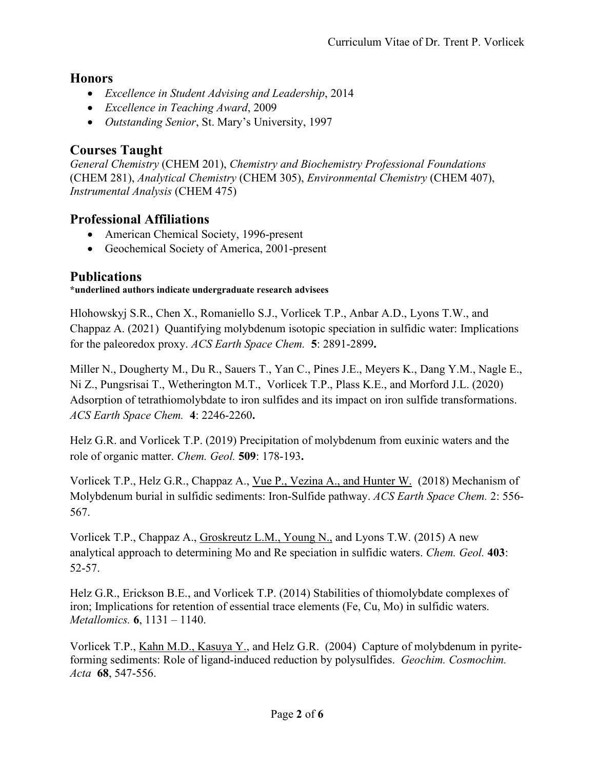### **Honors**

- *Excellence in Student Advising and Leadership*, 2014
- *Excellence in Teaching Award*, 2009
- *Outstanding Senior*, St. Mary's University, 1997

# **Courses Taught**

*General Chemistry* (CHEM 201), *Chemistry and Biochemistry Professional Foundations* (CHEM 281), *Analytical Chemistry* (CHEM 305), *Environmental Chemistry* (CHEM 407), *Instrumental Analysis* (CHEM 475)

## **Professional Affiliations**

- American Chemical Society, 1996-present
- Geochemical Society of America, 2001-present

## **Publications**

#### **\*underlined authors indicate undergraduate research advisees**

Hlohowskyj S.R., Chen X., Romaniello S.J., Vorlicek T.P., Anbar A.D., Lyons T.W., and Chappaz A. (2021) Quantifying molybdenum isotopic speciation in sulfidic water: Implications for the paleoredox proxy. *ACS Earth Space Chem.* **5**: 2891-2899**.**

Miller N., Dougherty M., Du R., Sauers T., Yan C., Pines J.E., Meyers K., Dang Y.M., Nagle E., Ni Z., Pungsrisai T., Wetherington M.T., Vorlicek T.P., Plass K.E., and Morford J.L. (2020) Adsorption of tetrathiomolybdate to iron sulfides and its impact on iron sulfide transformations. *ACS Earth Space Chem.* **4**: 2246-2260**.**

Helz G.R. and Vorlicek T.P. (2019) Precipitation of molybdenum from euxinic waters and the role of organic matter. *Chem. Geol.* **509**: 178-193**.**

Vorlicek T.P., Helz G.R., Chappaz A., Vue P., Vezina A., and Hunter W. (2018) Mechanism of Molybdenum burial in sulfidic sediments: Iron-Sulfide pathway. *ACS Earth Space Chem.* 2: 556- 567.

Vorlicek T.P., Chappaz A., Groskreutz L.M., Young N., and Lyons T.W. (2015) A new analytical approach to determining Mo and Re speciation in sulfidic waters. *Chem. Geol.* **403**: 52-57.

Helz G.R., Erickson B.E., and Vorlicek T.P. (2014) Stabilities of thiomolybdate complexes of iron; Implications for retention of essential trace elements (Fe, Cu, Mo) in sulfidic waters. *Metallomics.* **6**, 1131 – 1140.

Vorlicek T.P., Kahn M.D., Kasuya Y., and Helz G.R. (2004) Capture of molybdenum in pyriteforming sediments: Role of ligand-induced reduction by polysulfides. *Geochim. Cosmochim. Acta* **68**, 547-556.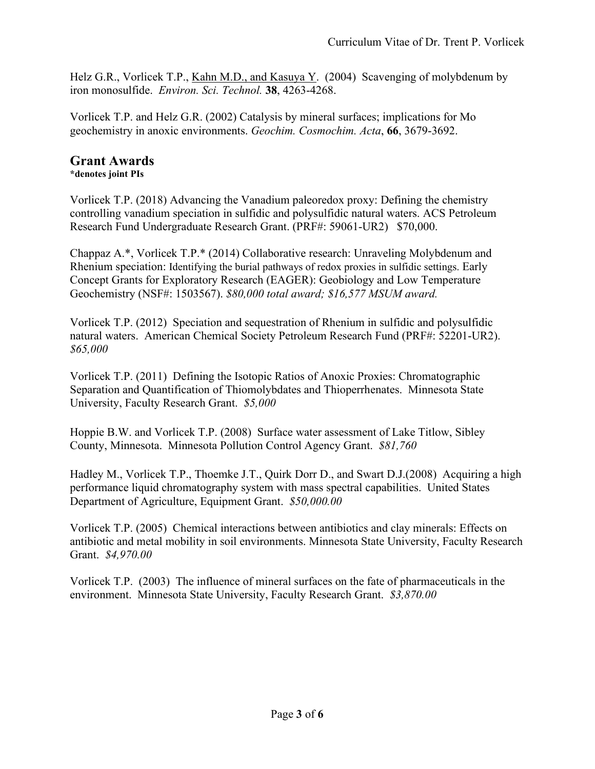Helz G.R., Vorlicek T.P., Kahn M.D., and Kasuya Y. (2004) Scavenging of molybdenum by iron monosulfide. *Environ. Sci. Technol.* **38**, 4263-4268.

Vorlicek T.P. and Helz G.R. (2002) Catalysis by mineral surfaces; implications for Mo geochemistry in anoxic environments. *Geochim. Cosmochim. Acta*, **66**, 3679-3692.

### **Grant Awards**

**\*denotes joint PIs**

Vorlicek T.P. (2018) Advancing the Vanadium paleoredox proxy: Defining the chemistry controlling vanadium speciation in sulfidic and polysulfidic natural waters. ACS Petroleum Research Fund Undergraduate Research Grant. (PRF#: 59061-UR2) \$70,000.

Chappaz A.\*, Vorlicek T.P.\* (2014) Collaborative research: Unraveling Molybdenum and Rhenium speciation: Identifying the burial pathways of redox proxies in sulfidic settings. Early Concept Grants for Exploratory Research (EAGER): Geobiology and Low Temperature Geochemistry (NSF#: 1503567). *\$80,000 total award; \$16,577 MSUM award.*

Vorlicek T.P. (2012) Speciation and sequestration of Rhenium in sulfidic and polysulfidic natural waters. American Chemical Society Petroleum Research Fund (PRF#: 52201-UR2). *\$65,000*

Vorlicek T.P. (2011) Defining the Isotopic Ratios of Anoxic Proxies: Chromatographic Separation and Quantification of Thiomolybdates and Thioperrhenates. Minnesota State University, Faculty Research Grant. *\$5,000*

Hoppie B.W. and Vorlicek T.P. (2008) Surface water assessment of Lake Titlow, Sibley County, Minnesota. Minnesota Pollution Control Agency Grant. *\$81,760*

Hadley M., Vorlicek T.P., Thoemke J.T., Quirk Dorr D., and Swart D.J.(2008) Acquiring a high performance liquid chromatography system with mass spectral capabilities. United States Department of Agriculture, Equipment Grant. *\$50,000.00*

Vorlicek T.P. (2005) Chemical interactions between antibiotics and clay minerals: Effects on antibiotic and metal mobility in soil environments. Minnesota State University, Faculty Research Grant. *\$4,970.00*

Vorlicek T.P. (2003) The influence of mineral surfaces on the fate of pharmaceuticals in the environment. Minnesota State University, Faculty Research Grant. *\$3,870.00*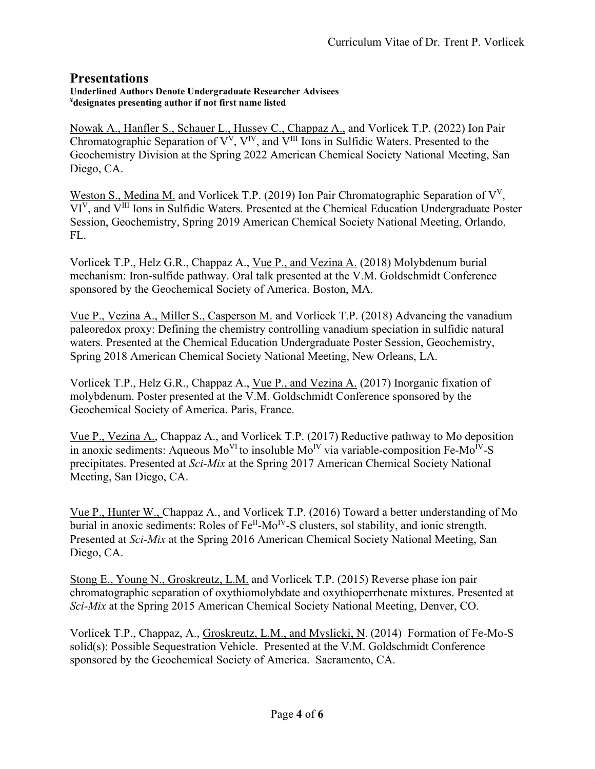### **Presentations**

#### **Underlined Authors Denote Undergraduate Researcher Advisees ¥ designates presenting author if not first name listed**

Nowak A., Hanfler S., Schauer L., Hussey C., Chappaz A., and Vorlicek T.P. (2022) Ion Pair Chromatographic Separation of  $V^V$ ,  $V^{IV}$ , and  $V^{III}$  Ions in Sulfidic Waters. Presented to the Geochemistry Division at the Spring 2022 American Chemical Society National Meeting, San Diego, CA.

Weston S., Medina M. and Vorlicek T.P. (2019) Ion Pair Chromatographic Separation of  $V<sup>V</sup>$ , VIV, and VIII Ions in Sulfidic Waters. Presented at the Chemical Education Undergraduate Poster Session, Geochemistry, Spring 2019 American Chemical Society National Meeting, Orlando, FL.

Vorlicek T.P., Helz G.R., Chappaz A., Vue P., and Vezina A. (2018) Molybdenum burial mechanism: Iron-sulfide pathway. Oral talk presented at the V.M. Goldschmidt Conference sponsored by the Geochemical Society of America. Boston, MA.

Vue P., Vezina A., Miller S., Casperson M. and Vorlicek T.P. (2018) Advancing the vanadium paleoredox proxy: Defining the chemistry controlling vanadium speciation in sulfidic natural waters. Presented at the Chemical Education Undergraduate Poster Session, Geochemistry, Spring 2018 American Chemical Society National Meeting, New Orleans, LA.

Vorlicek T.P., Helz G.R., Chappaz A., Vue P., and Vezina A. (2017) Inorganic fixation of molybdenum. Poster presented at the V.M. Goldschmidt Conference sponsored by the Geochemical Society of America. Paris, France.

Vue P., Vezina A., Chappaz A., and Vorlicek T.P. (2017) Reductive pathway to Mo deposition in anoxic sediments: Aqueous  $Mo<sup>VI</sup>$  to insoluble  $Mo<sup>IV</sup>$  via variable-composition Fe-Mo<sup>IV</sup>-S precipitates. Presented at *Sci-Mix* at the Spring 2017 American Chemical Society National Meeting, San Diego, CA.

Vue P., Hunter W., Chappaz A., and Vorlicek T.P. (2016) Toward a better understanding of Mo burial in anoxic sediments: Roles of  $Fe^{II}$ -Mo<sup>IV</sup>-S clusters, sol stability, and ionic strength. Presented at *Sci-Mix* at the Spring 2016 American Chemical Society National Meeting, San Diego, CA.

Stong E., Young N., Groskreutz, L.M. and Vorlicek T.P. (2015) Reverse phase ion pair chromatographic separation of oxythiomolybdate and oxythioperrhenate mixtures. Presented at *Sci-Mix* at the Spring 2015 American Chemical Society National Meeting, Denver, CO.

Vorlicek T.P., Chappaz, A., Groskreutz, L.M., and Myslicki, N. (2014) Formation of Fe-Mo-S solid(s): Possible Sequestration Vehicle. Presented at the V.M. Goldschmidt Conference sponsored by the Geochemical Society of America. Sacramento, CA.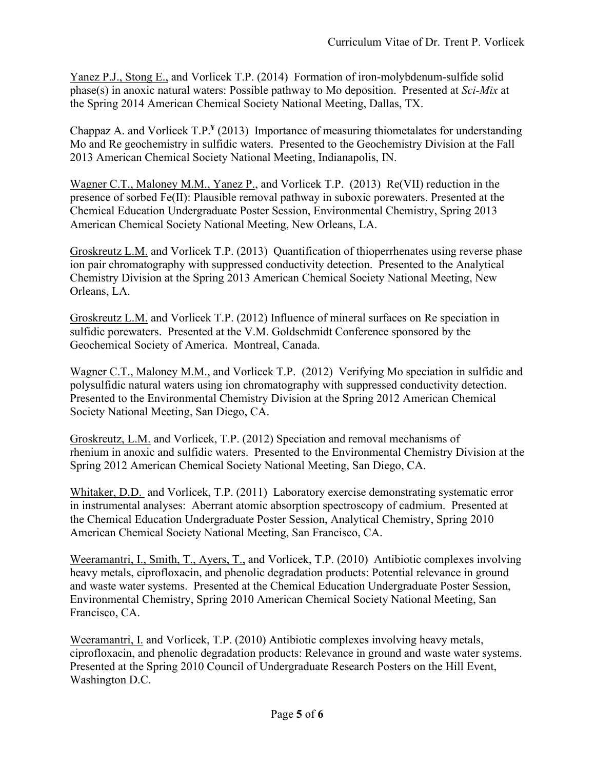Yanez P.J., Stong E., and Vorlicek T.P. (2014) Formation of iron-molybdenum-sulfide solid phase(s) in anoxic natural waters: Possible pathway to Mo deposition. Presented at *Sci-Mix* at the Spring 2014 American Chemical Society National Meeting, Dallas, TX.

Chappaz A. and Vorlicek T.P.**¥** (2013) Importance of measuring thiometalates for understanding Mo and Re geochemistry in sulfidic waters. Presented to the Geochemistry Division at the Fall 2013 American Chemical Society National Meeting, Indianapolis, IN.

Wagner C.T., Maloney M.M., Yanez P., and Vorlicek T.P. (2013) Re(VII) reduction in the presence of sorbed Fe(II): Plausible removal pathway in suboxic porewaters. Presented at the Chemical Education Undergraduate Poster Session, Environmental Chemistry, Spring 2013 American Chemical Society National Meeting, New Orleans, LA.

Groskreutz L.M. and Vorlicek T.P. (2013) Quantification of thioperrhenates using reverse phase ion pair chromatography with suppressed conductivity detection. Presented to the Analytical Chemistry Division at the Spring 2013 American Chemical Society National Meeting, New Orleans, LA.

Groskreutz L.M. and Vorlicek T.P. (2012) Influence of mineral surfaces on Re speciation in sulfidic porewaters. Presented at the V.M. Goldschmidt Conference sponsored by the Geochemical Society of America. Montreal, Canada.

Wagner C.T., Maloney M.M., and Vorlicek T.P. (2012) Verifying Mo speciation in sulfidic and polysulfidic natural waters using ion chromatography with suppressed conductivity detection. Presented to the Environmental Chemistry Division at the Spring 2012 American Chemical Society National Meeting, San Diego, CA.

Groskreutz, L.M. and Vorlicek, T.P. (2012) Speciation and removal mechanisms of rhenium in anoxic and sulfidic waters. Presented to the Environmental Chemistry Division at the Spring 2012 American Chemical Society National Meeting, San Diego, CA.

Whitaker, D.D. and Vorlicek, T.P. (2011) Laboratory exercise demonstrating systematic error in instrumental analyses: Aberrant atomic absorption spectroscopy of cadmium. Presented at the Chemical Education Undergraduate Poster Session, Analytical Chemistry, Spring 2010 American Chemical Society National Meeting, San Francisco, CA.

Weeramantri, I., Smith, T., Ayers, T., and Vorlicek, T.P. (2010) Antibiotic complexes involving heavy metals, ciprofloxacin, and phenolic degradation products: Potential relevance in ground and waste water systems. Presented at the Chemical Education Undergraduate Poster Session, Environmental Chemistry, Spring 2010 American Chemical Society National Meeting, San Francisco, CA.

Weeramantri, I. and Vorlicek, T.P. (2010) Antibiotic complexes involving heavy metals, ciprofloxacin, and phenolic degradation products: Relevance in ground and waste water systems. Presented at the Spring 2010 Council of Undergraduate Research Posters on the Hill Event, Washington D.C.